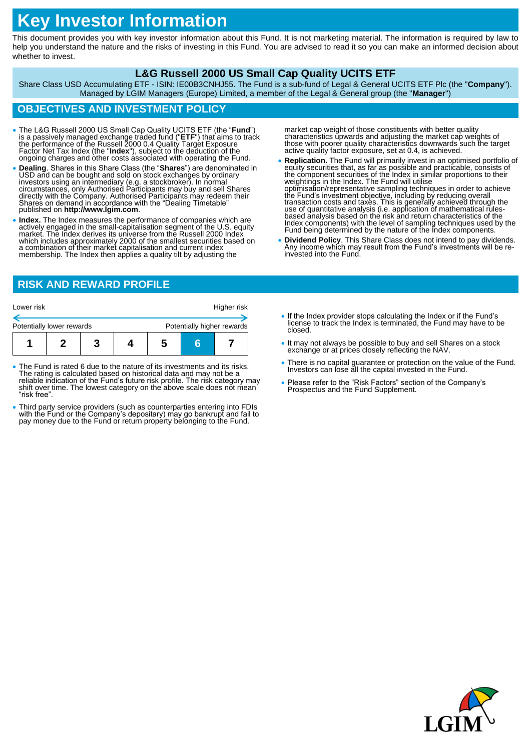# **Key Investor Information**

This document provides you with key investor information about this Fund. It is not marketing material. The information is required by law to help you understand the nature and the risks of investing in this Fund. You are advised to read it so you can make an informed decision about whether to invest.

### **L&G Russell 2000 US Small Cap Quality UCITS ETF**

Share Class USD Accumulating ETF - ISIN: IE00B3CNHJ55. The Fund is a sub-fund of Legal & General UCITS ETF Plc (the "**Company**"). Managed by LGIM Managers (Europe) Limited, a member of the Legal & General group (the "**Manager**")

# **OBJECTIVES AND INVESTMENT POLICY**

- The L&G Russell 2000 US Small Cap Quality UCITS ETF (the "**Fund**") is a passively managed exchange traded fund ("**ETF**") that aims to track the performance of the Russell 2000 0.4 Quality Target Exposure Factor Net Tack
- **Dealing**. Shares in this Share Class (the "**Shares**") are denominated in USD and can be bought and sold on stock exchanges by ordinary investors using an intermediary (e.g. a stockbroker). In normal<br>circumstances, only Authorised Participants may buy and sell Shares<br>directly with the Company. Authorised Participants may redeem their<br>Shares on demand in ac published on **http://www.lgim.com**.
- **Index.** The Index measures the performance of companies which are actively engaged in the small-capitalisation segment of the U.S. equity<br>market. The Index derives its universe from the Russell 2000 Index<br>which includes approximately 2000 of the smallest securities based on<br>a combination membership. The Index then applies a quality tilt by adjusting the

market cap weight of those constituents with better quality characteristics upwards and adjusting the market cap weights of those with poorer quality characteristics downwards such the target active quality factor exposure, set at 0.4, is achieved.

- **Replication.** The Fund will primarily invest in an optimised portfolio of equity securities that, as far as possible and practicable, consists of the component securities of the Index in similar proportions to their weightings in the Index. The Fund will utilise optimisation/representative sampling techniques in order to achieve<br>the Fund's investment objective, including by reducing overall<br>transaction costs and taxes. This is generally achieved through the<br>use of quantitative ana based analysis based on the risk and return characteristics of the<br>Index components) with the level of sampling techniques used by the<br>Fund being determined by the nature of the Index components.
- **Dividend Policy**. This Share Class does not intend to pay dividends. Any income which may result from the Fund's investments will be reinvested into the Fund.

# **RISK AND REWARD PROFILE**

| Lower risk                |  |  |  |                            | Higher risk |  |
|---------------------------|--|--|--|----------------------------|-------------|--|
| Potentially lower rewards |  |  |  | Potentially higher rewards |             |  |
|                           |  |  |  | h                          |             |  |

- The Fund is rated 6 due to the nature of its investments and its risks. The rating is calculated based on historical data and may not be a reliable indication of the Fund's future risk profile. The risk category may shift over time. The lowest category on the above scale does not mean "risk free".
- Third party service providers (such as counterparties entering into FDIs with the Fund or the Company's depositary) may go bankrupt and fail to pay money due to the Fund or return property belonging to the Fund.
- If the Index provider stops calculating the Index or if the Fund's license to track the Index is terminated, the Fund may have to be closed.
- It may not always be possible to buy and sell Shares on a stock exchange or at prices closely reflecting the NAV.
- There is no capital guarantee or protection on the value of the Fund. Investors can lose all the capital invested in the Fund.
- Please refer to the "Risk Factors" section of the Company's Prospectus and the Fund Supplement.